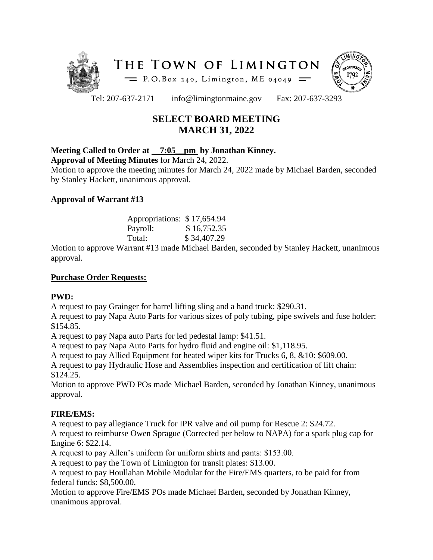



Tel: 207-637-2171 info@limingtonmaine.gov Fax: 207-637-3293

# **SELECT BOARD MEETING MARCH 31, 2022**

## **Meeting Called to Order at 7:05\_\_pm by Jonathan Kinney.**

**Approval of Meeting Minutes** for March 24, 2022.

Motion to approve the meeting minutes for March 24, 2022 made by Michael Barden, seconded by Stanley Hackett, unanimous approval.

## **Approval of Warrant #13**

| Appropriations: \$17,654.94 |             |
|-----------------------------|-------------|
| Payroll:                    | \$16,752.35 |
| Total:                      | \$34,407.29 |

Motion to approve Warrant #13 made Michael Barden, seconded by Stanley Hackett, unanimous approval.

#### **Purchase Order Requests:**

#### **PWD:**

A request to pay Grainger for barrel lifting sling and a hand truck: \$290.31.

A request to pay Napa Auto Parts for various sizes of poly tubing, pipe swivels and fuse holder: \$154.85.

A request to pay Napa auto Parts for led pedestal lamp: \$41.51.

A request to pay Napa Auto Parts for hydro fluid and engine oil: \$1,118.95.

A request to pay Allied Equipment for heated wiper kits for Trucks 6, 8, &10: \$609.00.

A request to pay Hydraulic Hose and Assemblies inspection and certification of lift chain: \$124.25.

Motion to approve PWD POs made Michael Barden, seconded by Jonathan Kinney, unanimous approval.

# **FIRE/EMS:**

A request to pay allegiance Truck for IPR valve and oil pump for Rescue 2: \$24.72.

A request to reimburse Owen Sprague (Corrected per below to NAPA) for a spark plug cap for Engine 6: \$22.14.

A request to pay Allen's uniform for uniform shirts and pants: \$153.00.

A request to pay the Town of Limington for transit plates: \$13.00.

A request to pay Houllahan Mobile Modular for the Fire/EMS quarters, to be paid for from federal funds: \$8,500.00.

Motion to approve Fire/EMS POs made Michael Barden, seconded by Jonathan Kinney, unanimous approval.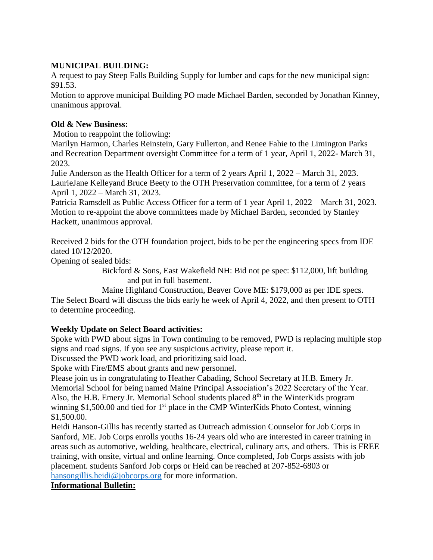## **MUNICIPAL BUILDING:**

A request to pay Steep Falls Building Supply for lumber and caps for the new municipal sign: \$91.53.

Motion to approve municipal Building PO made Michael Barden, seconded by Jonathan Kinney, unanimous approval.

#### **Old & New Business:**

Motion to reappoint the following:

Marilyn Harmon, Charles Reinstein, Gary Fullerton, and Renee Fahie to the Limington Parks and Recreation Department oversight Committee for a term of 1 year, April 1, 2022- March 31, 2023.

Julie Anderson as the Health Officer for a term of 2 years April 1, 2022 – March 31, 2023. LaurieJane Kelleyand Bruce Beety to the OTH Preservation committee, for a term of 2 years April 1, 2022 – March 31, 2023.

Patricia Ramsdell as Public Access Officer for a term of 1 year April 1, 2022 – March 31, 2023. Motion to re-appoint the above committees made by Michael Barden, seconded by Stanley Hackett, unanimous approval.

Received 2 bids for the OTH foundation project, bids to be per the engineering specs from IDE dated 10/12/2020.

Opening of sealed bids:

Bickford & Sons, East Wakefield NH: Bid not pe spec: \$112,000, lift building and put in full basement.

Maine Highland Construction, Beaver Cove ME: \$179,000 as per IDE specs. The Select Board will discuss the bids early he week of April 4, 2022, and then present to OTH to determine proceeding.

# **Weekly Update on Select Board activities:**

Spoke with PWD about signs in Town continuing to be removed, PWD is replacing multiple stop signs and road signs. If you see any suspicious activity, please report it.

Discussed the PWD work load, and prioritizing said load.

Spoke with Fire/EMS about grants and new personnel.

Please join us in congratulating to Heather Cabading, School Secretary at H.B. Emery Jr.

Memorial School for being named Maine Principal Association's 2022 Secretary of the Year. Also, the H.B. Emery Jr. Memorial School students placed  $8<sup>th</sup>$  in the WinterKids program winning \$1,500.00 and tied for 1<sup>st</sup> place in the CMP WinterKids Photo Contest, winning \$1,500.00.

Heidi Hanson-Gillis has recently started as Outreach admission Counselor for Job Corps in Sanford, ME. Job Corps enrolls youths 16-24 years old who are interested in career training in areas such as automotive, welding, healthcare, electrical, culinary arts, and others. This is FREE training, with onsite, virtual and online learning. Once completed, Job Corps assists with job placement. students Sanford Job corps or Heid can be reached at 207-852-6803 or [hansongillis.heidi@jobcorps.org](mailto:hansongillis.heidi@jobcorps.org) for more information.

#### **Informational Bulletin:**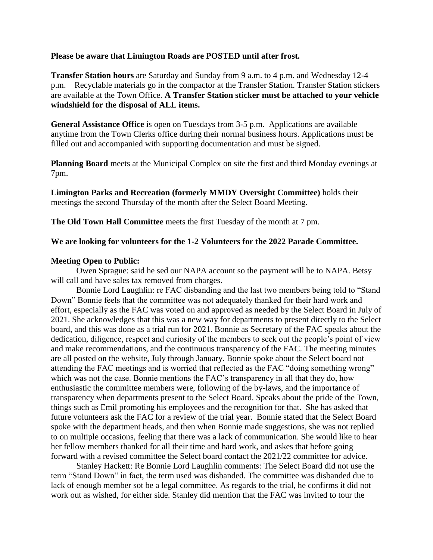#### **Please be aware that Limington Roads are POSTED until after frost.**

**Transfer Station hours** are Saturday and Sunday from 9 a.m. to 4 p.m. and Wednesday 12-4 p.m. Recyclable materials go in the compactor at the Transfer Station. Transfer Station stickers are available at the Town Office. **A Transfer Station sticker must be attached to your vehicle windshield for the disposal of ALL items.**

**General Assistance Office** is open on Tuesdays from 3-5 p.m. Applications are available anytime from the Town Clerks office during their normal business hours. Applications must be filled out and accompanied with supporting documentation and must be signed.

**Planning Board** meets at the Municipal Complex on site the first and third Monday evenings at 7pm.

**Limington Parks and Recreation (formerly MMDY Oversight Committee)** holds their meetings the second Thursday of the month after the Select Board Meeting.

**The Old Town Hall Committee** meets the first Tuesday of the month at 7 pm.

#### **We are looking for volunteers for the 1-2 Volunteers for the 2022 Parade Committee.**

#### **Meeting Open to Public:**

Owen Sprague: said he sed our NAPA account so the payment will be to NAPA. Betsy will call and have sales tax removed from charges.

Bonnie Lord Laughlin: re FAC disbanding and the last two members being told to "Stand Down" Bonnie feels that the committee was not adequately thanked for their hard work and effort, especially as the FAC was voted on and approved as needed by the Select Board in July of 2021. She acknowledges that this was a new way for departments to present directly to the Select board, and this was done as a trial run for 2021. Bonnie as Secretary of the FAC speaks about the dedication, diligence, respect and curiosity of the members to seek out the people's point of view and make recommendations, and the continuous transparency of the FAC. The meeting minutes are all posted on the website, July through January. Bonnie spoke about the Select board not attending the FAC meetings and is worried that reflected as the FAC "doing something wrong" which was not the case. Bonnie mentions the FAC's transparency in all that they do, how enthusiastic the committee members were, following of the by-laws, and the importance of transparency when departments present to the Select Board. Speaks about the pride of the Town, things such as Emil promoting his employees and the recognition for that. She has asked that future volunteers ask the FAC for a review of the trial year. Bonnie stated that the Select Board spoke with the department heads, and then when Bonnie made suggestions, she was not replied to on multiple occasions, feeling that there was a lack of communication. She would like to hear her fellow members thanked for all their time and hard work, and askes that before going forward with a revised committee the Select board contact the 2021/22 committee for advice.

Stanley Hackett: Re Bonnie Lord Laughlin comments: The Select Board did not use the term "Stand Down" in fact, the term used was disbanded. The committee was disbanded due to lack of enough member sot be a legal committee. As regards to the trial, he confirms it did not work out as wished, for either side. Stanley did mention that the FAC was invited to tour the